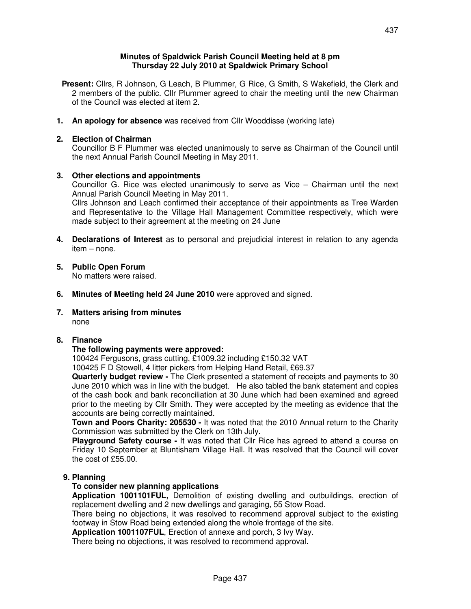## **Minutes of Spaldwick Parish Council Meeting held at 8 pm Thursday 22 July 2010 at Spaldwick Primary School**

- **Present:** Cllrs, R Johnson, G Leach, B Plummer, G Rice, G Smith, S Wakefield, the Clerk and 2 members of the public. Cllr Plummer agreed to chair the meeting until the new Chairman of the Council was elected at item 2.
- **1. An apology for absence** was received from Cllr Wooddisse (working late)

# **2. Election of Chairman**

Councillor B F Plummer was elected unanimously to serve as Chairman of the Council until the next Annual Parish Council Meeting in May 2011.

## **3. Other elections and appointments**

Councillor G. Rice was elected unanimously to serve as Vice – Chairman until the next Annual Parish Council Meeting in May 2011.

 Cllrs Johnson and Leach confirmed their acceptance of their appointments as Tree Warden and Representative to the Village Hall Management Committee respectively, which were made subject to their agreement at the meeting on 24 June

- **4. Declarations of Interest** as to personal and prejudicial interest in relation to any agenda item – none.
- **5. Public Open Forum**

No matters were raised.

**6. Minutes of Meeting held 24 June 2010** were approved and signed.

#### **7. Matters arising from minutes**  none

# **8. Finance**

### **The following payments were approved:**

100424 Fergusons, grass cutting, £1009.32 including £150.32 VAT

100425 F D Stowell, 4 litter pickers from Helping Hand Retail, £69.37

**Quarterly budget review -** The Clerk presented a statement of receipts and payments to 30 June 2010 which was in line with the budget. He also tabled the bank statement and copies of the cash book and bank reconciliation at 30 June which had been examined and agreed prior to the meeting by Cllr Smith. They were accepted by the meeting as evidence that the accounts are being correctly maintained.

**Town and Poors Charity: 205530 -** It was noted that the 2010 Annual return to the Charity Commission was submitted by the Clerk on 13th July.

**Playground Safety course -** It was noted that Cllr Rice has agreed to attend a course on Friday 10 September at Bluntisham Village Hall. It was resolved that the Council will cover the cost of £55.00.

### **9. Planning**

# **To consider new planning applications**

 **Application 1001101FUL,** Demolition of existing dwelling and outbuildings, erection of replacement dwelling and 2 new dwellings and garaging, 55 Stow Road.

 There being no objections, it was resolved to recommend approval subject to the existing footway in Stow Road being extended along the whole frontage of the site.

**Application 1001107FUL**, Erection of annexe and porch, 3 Ivy Way.

There being no objections, it was resolved to recommend approval.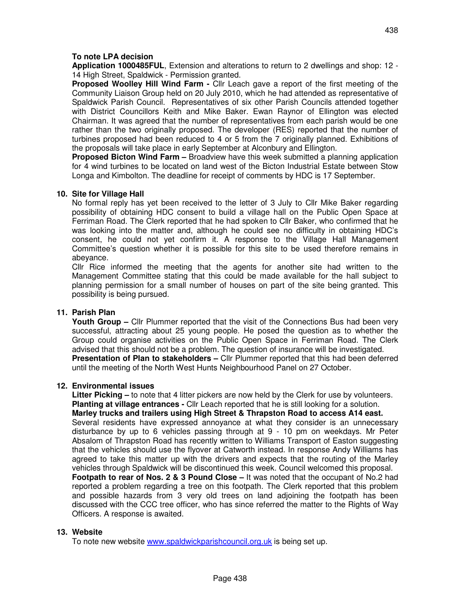# **To note LPA decision**

 **Application 1000485FUL**, Extension and alterations to return to 2 dwellings and shop: 12 - 14 High Street, Spaldwick - Permission granted.

 **Proposed Woolley Hill Wind Farm -** Cllr Leach gave a report of the first meeting of the Community Liaison Group held on 20 July 2010, which he had attended as representative of Spaldwick Parish Council. Representatives of six other Parish Councils attended together with District Councillors Keith and Mike Baker. Ewan Raynor of Ellington was elected Chairman. It was agreed that the number of representatives from each parish would be one rather than the two originally proposed. The developer (RES) reported that the number of turbines proposed had been reduced to 4 or 5 from the 7 originally planned. Exhibitions of the proposals will take place in early September at Alconbury and Ellington.

**Proposed Bicton Wind Farm –** Broadview have this week submitted a planning application for 4 wind turbines to be located on land west of the Bicton Industrial Estate between Stow Longa and Kimbolton. The deadline for receipt of comments by HDC is 17 September.

### **10. Site for Village Hall**

No formal reply has yet been received to the letter of 3 July to Cllr Mike Baker regarding possibility of obtaining HDC consent to build a village hall on the Public Open Space at Ferriman Road. The Clerk reported that he had spoken to Cllr Baker, who confirmed that he was looking into the matter and, although he could see no difficulty in obtaining HDC's consent, he could not yet confirm it. A response to the Village Hall Management Committee's question whether it is possible for this site to be used therefore remains in abeyance.

 Cllr Rice informed the meeting that the agents for another site had written to the Management Committee stating that this could be made available for the hall subject to planning permission for a small number of houses on part of the site being granted. This possibility is being pursued.

### **11. Parish Plan**

**Youth Group –** Cllr Plummer reported that the visit of the Connections Bus had been very successful, attracting about 25 young people. He posed the question as to whether the Group could organise activities on the Public Open Space in Ferriman Road. The Clerk advised that this should not be a problem. The question of insurance will be investigated. **Presentation of Plan to stakeholders –** Cllr Plummer reported that this had been deferred until the meeting of the North West Hunts Neighbourhood Panel on 27 October.

### **12. Environmental issues**

 **Litter Picking –** to note that 4 litter pickers are now held by the Clerk for use by volunteers. **Planting at village entrances -** Cllr Leach reported that he is still looking for a solution. **Marley trucks and trailers using High Street & Thrapston Road to access A14 east.**  Several residents have expressed annoyance at what they consider is an unnecessary disturbance by up to 6 vehicles passing through at 9 - 10 pm on weekdays. Mr Peter Absalom of Thrapston Road has recently written to Williams Transport of Easton suggesting that the vehicles should use the flyover at Catworth instead. In response Andy Williams has agreed to take this matter up with the drivers and expects that the routing of the Marley vehicles through Spaldwick will be discontinued this week. Council welcomed this proposal. **Footpath to rear of Nos. 2 & 3 Pound Close –** It was noted that the occupant of No.2 had reported a problem regarding a tree on this footpath. The Clerk reported that this problem and possible hazards from 3 very old trees on land adjoining the footpath has been discussed with the CCC tree officer, who has since referred the matter to the Rights of Way Officers. A response is awaited.

### **13. Website**

To note new website www.spaldwickparishcouncil.org.uk is being set up.